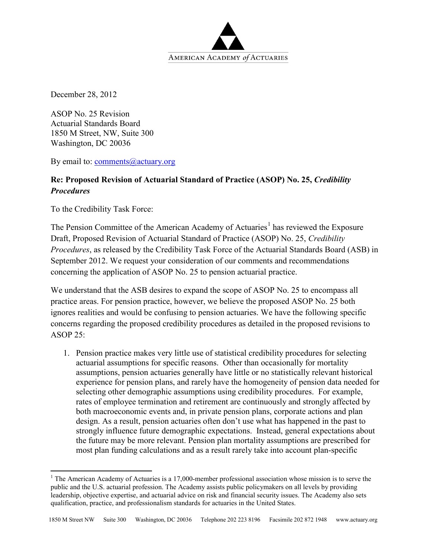

December 28, 2012

ASOP No. 25 Revision Actuarial Standards Board 1850 M Street, NW, Suite 300 Washington, DC 20036

By email to: [comments@actuary.org](mailto:comments@actuary.org)

## **Re: Proposed Revision of Actuarial Standard of Practice (ASOP) No. 25,** *Credibility Procedures*

To the Credibility Task Force:

The Pension Committee of the American Academy of Actuaries<sup>[1](#page-0-0)</sup> has reviewed the Exposure Draft, Proposed Revision of Actuarial Standard of Practice (ASOP) No. 25, *Credibility Procedures*, as released by the Credibility Task Force of the Actuarial Standards Board (ASB) in September 2012. We request your consideration of our comments and recommendations concerning the application of ASOP No. 25 to pension actuarial practice.

We understand that the ASB desires to expand the scope of ASOP No. 25 to encompass all practice areas. For pension practice, however, we believe the proposed ASOP No. 25 both ignores realities and would be confusing to pension actuaries. We have the following specific concerns regarding the proposed credibility procedures as detailed in the proposed revisions to ASOP  $25$ 

1. Pension practice makes very little use of statistical credibility procedures for selecting actuarial assumptions for specific reasons. Other than occasionally for mortality assumptions, pension actuaries generally have little or no statistically relevant historical experience for pension plans, and rarely have the homogeneity of pension data needed for selecting other demographic assumptions using credibility procedures. For example, rates of employee termination and retirement are continuously and strongly affected by both macroeconomic events and, in private pension plans, corporate actions and plan design. As a result, pension actuaries often don't use what has happened in the past to strongly influence future demographic expectations. Instead, general expectations about the future may be more relevant. Pension plan mortality assumptions are prescribed for most plan funding calculations and as a result rarely take into account plan-specific

<span id="page-0-0"></span><sup>&</sup>lt;sup>1</sup> The American Academy of Actuaries is a 17,000-member professional association whose mission is to serve the public and the U.S. actuarial profession. The Academy assists public policymakers on all levels by providing leadership, objective expertise, and actuarial advice on risk and financial security issues. The Academy also sets qualification, practice, and professionalism standards for actuaries in the United States.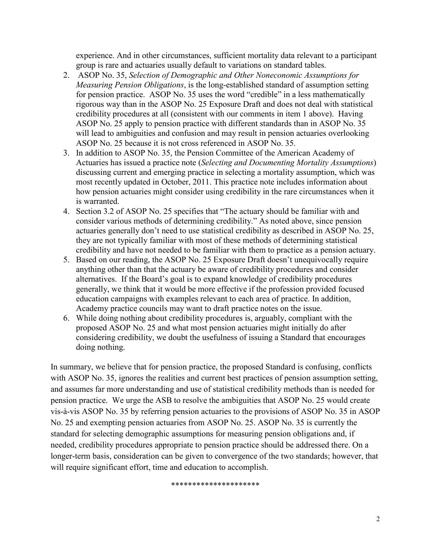experience. And in other circumstances, sufficient mortality data relevant to a participant group is rare and actuaries usually default to variations on standard tables.

- 2. ASOP No. 35, *[Selection of Demographic and Other Noneconomic Assumptions for](http://www.actuarialstandardsboard.org/pdf/asops/asop035_152.pdf)  [Measuring Pension Obligations](http://www.actuarialstandardsboard.org/pdf/asops/asop035_152.pdf)*, is the long-established standard of assumption setting for pension practice. ASOP No. 35 uses the word "credible" in a less mathematically rigorous way than in the ASOP No. 25 Exposure Draft and does not deal with statistical credibility procedures at all (consistent with our comments in item 1 above). Having ASOP No. 25 apply to pension practice with different standards than in ASOP No. 35 will lead to ambiguities and confusion and may result in pension actuaries overlooking ASOP No. 25 because it is not cross referenced in ASOP No. 35.
- 3. In addition to ASOP No. 35, the Pension Committee of the American Academy of Actuaries has issued a practice note (*Selecting and Documenting Mortality Assumptions*) discussing current and emerging practice in selecting a mortality assumption, which was most recently updated in October, 2011. This practice note includes information about how pension actuaries might consider using credibility in the rare circumstances when it is warranted.
- 4. Section 3.2 of ASOP No. 25 specifies that "The actuary should be familiar with and consider various methods of determining credibility." As noted above, since pension actuaries generally don't need to use statistical credibility as described in ASOP No. 25, they are not typically familiar with most of these methods of determining statistical credibility and have not needed to be familiar with them to practice as a pension actuary.
- 5. Based on our reading, the ASOP No. 25 Exposure Draft doesn't unequivocally require anything other than that the actuary be aware of credibility procedures and consider alternatives. If the Board's goal is to expand knowledge of credibility procedures generally, we think that it would be more effective if the profession provided focused education campaigns with examples relevant to each area of practice. In addition, Academy practice councils may want to draft practice notes on the issue.
- 6. While doing nothing about credibility procedures is, arguably, compliant with the proposed ASOP No. 25 and what most pension actuaries might initially do after considering credibility, we doubt the usefulness of issuing a Standard that encourages doing nothing.

In summary, we believe that for pension practice, the proposed Standard is confusing, conflicts with ASOP No. 35, ignores the realities and current best practices of pension assumption setting, and assumes far more understanding and use of statistical credibility methods than is needed for pension practice. We urge the ASB to resolve the ambiguities that ASOP No. 25 would create vis-à-vis ASOP No. 35 by referring pension actuaries to the provisions of ASOP No. 35 in ASOP No. 25 and exempting pension actuaries from ASOP No. 25. ASOP No. 35 is currently the standard for selecting demographic assumptions for measuring pension obligations and, if needed, credibility procedures appropriate to pension practice should be addressed there. On a longer-term basis, consideration can be given to convergence of the two standards; however, that will require significant effort, time and education to accomplish.

\*\*\*\*\*\*\*\*\*\*\*\*\*\*\*\*\*\*\*\*\*